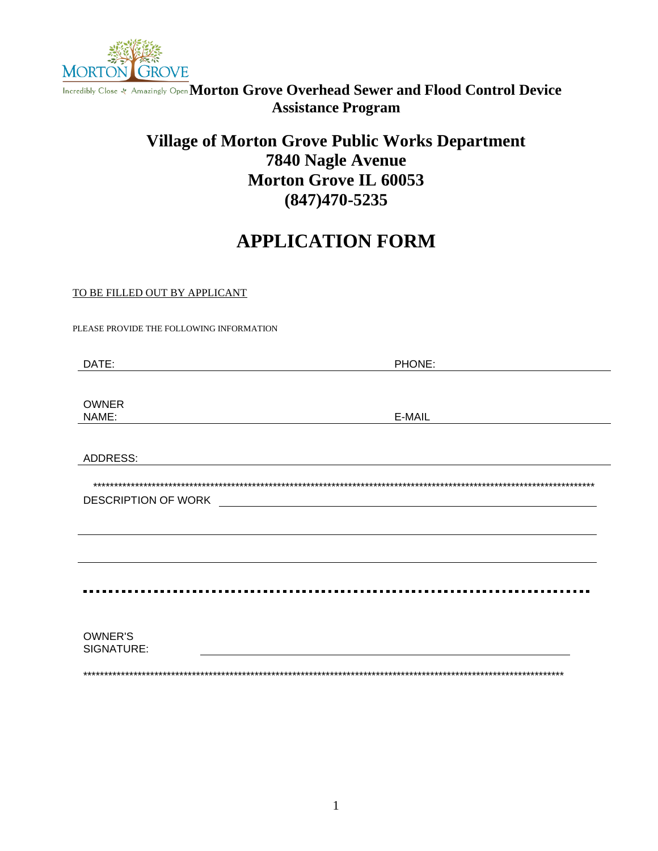

Incredibly Close & Amazingly Open Morton Grove Overhead Sewer and Flood Control Device **Assistance Program** 

## **Village of Morton Grove Public Works Department** 7840 Nagle Avenue **Morton Grove IL 60053**  $(847)470 - 5235$

# **APPLICATION FORM**

#### TO BE FILLED OUT BY APPLICANT

PLEASE PROVIDE THE FOLLOWING INFORMATION

| DATE:                      | PHONE: |
|----------------------------|--------|
|                            |        |
|                            |        |
| <b>OWNER</b>               |        |
| NAME:                      | E-MAIL |
|                            |        |
| ADDRESS:                   |        |
|                            |        |
| <b>DESCRIPTION OF WORK</b> |        |
|                            |        |
|                            |        |
|                            |        |
|                            |        |
|                            |        |
|                            |        |
|                            |        |
| <b>OWNER'S</b>             |        |
| SIGNATURE:                 |        |
|                            |        |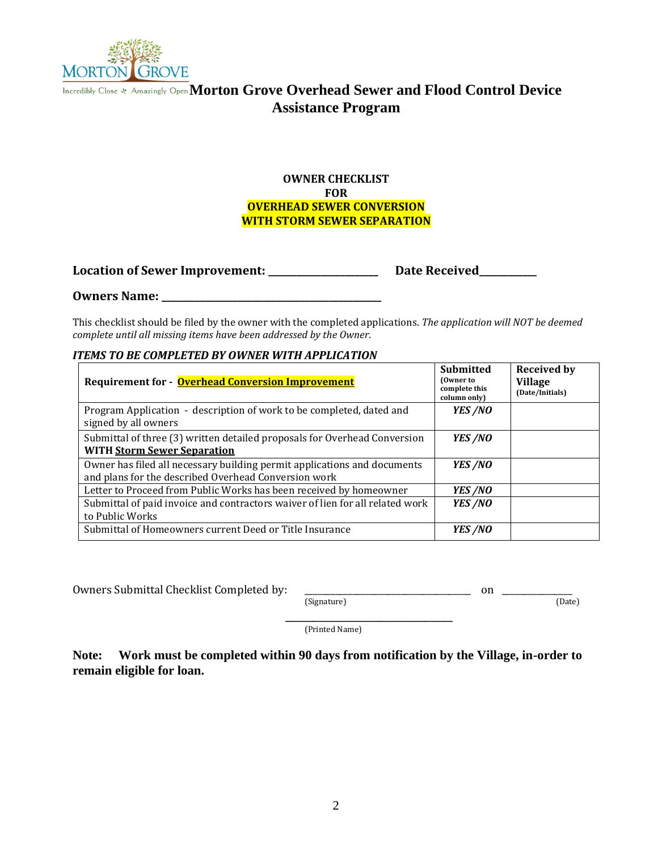

## **Morton Grove Overhead Sewer and Flood Control Device Assistance Program**

#### **OWNER CHECKLIST FOR OVERHEAD SEWER CONVERSION WITH STORM SEWER SEPARATION**

**Location of Sewer Improvement: \_\_\_\_\_\_\_\_\_\_\_\_\_\_\_\_\_\_\_\_\_\_\_ Date Received\_\_\_\_\_\_\_\_\_\_\_\_** 

#### **Owners Name: \_\_\_\_\_\_\_\_\_\_\_\_\_\_\_\_\_\_\_\_\_\_\_\_\_\_\_\_\_\_\_\_\_\_\_\_\_\_\_\_\_\_\_\_\_\_**

This checklist should be filed by the owner with the completed applications. *The application will NOT be deemed complete until all missing items have been addressed by the Owner.* 

#### *ITEMS TO BE COMPLETED BY OWNER WITH APPLICATION*

| Requirement for - Overhead Conversion Improvement                                                                                | <b>Submitted</b><br>(Owner to<br>complete this<br>column only) | <b>Received by</b><br><b>Village</b><br>(Date/Initials) |
|----------------------------------------------------------------------------------------------------------------------------------|----------------------------------------------------------------|---------------------------------------------------------|
| Program Application - description of work to be completed, dated and<br>signed by all owners                                     | YES /NO                                                        |                                                         |
| Submittal of three (3) written detailed proposals for Overhead Conversion<br><b>WITH Storm Sewer Separation</b>                  | YES /NO                                                        |                                                         |
| Owner has filed all necessary building permit applications and documents<br>and plans for the described Overhead Conversion work | YES /NO                                                        |                                                         |
| Letter to Proceed from Public Works has been received by homeowner                                                               | YES /NO                                                        |                                                         |
| Submittal of paid invoice and contractors waiver of lien for all related work<br>to Public Works                                 | YES /NO                                                        |                                                         |
| Submittal of Homeowners current Deed or Title Insurance                                                                          | YES /NO                                                        |                                                         |

Owners Submittal Checklist Completed by: \_\_\_\_\_\_\_\_\_\_\_\_\_\_\_\_\_\_\_\_\_\_\_\_\_\_\_\_\_\_\_\_\_\_\_\_\_\_ on \_\_\_\_\_\_\_\_\_\_\_\_\_\_\_\_ (Signature)

\_\_\_\_\_\_\_\_\_\_\_\_\_\_\_\_\_\_\_\_\_\_\_\_\_\_\_\_\_\_ (Printed Name)

**Note: Work must be completed within 90 days from notification by the Village, in-order to remain eligible for loan.**